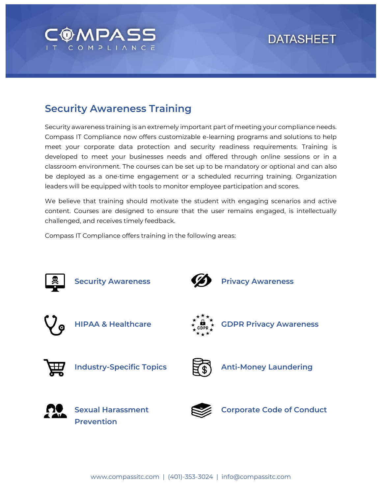

# **DATASHEET**

### **Security Awareness Training**

Security awareness training is an extremely important part of meeting your compliance needs. Compass IT Compliance now offers customizable e-learning programs and solutions to help meet your corporate data protection and security readiness requirements. Training is developed to meet your businesses needs and offered through online sessions or in a classroom environment. The courses can be set up to be mandatory or optional and can also be deployed as a one-time engagement or a scheduled recurring training. Organization leaders will be equipped with tools to monitor employee participation and scores.

We believe that training should motivate the student with engaging scenarios and active content. Courses are designed to ensure that the user remains engaged, is intellectually challenged, and receives timely feedback.

Compass IT Compliance offers training in the following areas: